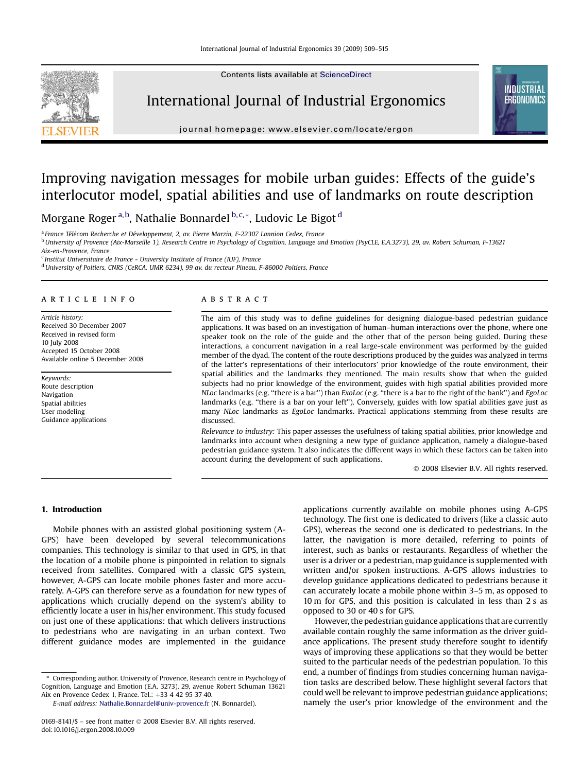Contents lists available at [ScienceDirect](www.sciencedirect.com/science/journal/01698141)

# International Journal of Industrial Ergonomics



journal homepage: [www.elsevier.com/locate/ergon](http://www.elsevier.com/locate/ergon)

# Improving navigation messages for mobile urban guides: Effects of the guide's interlocutor model, spatial abilities and use of landmarks on route description

Morgane Roger <sup>a, b</sup>, Nathalie BonnardeI <sup>b, c,</sup> \*, Ludovic Le Bigot <sup>d</sup>

<sup>a</sup> France Télécom Recherche et Développement, 2, av. Pierre Marzin, F-22307 Lannion Cedex, France

<sup>b</sup> University of Provence (Aix-Marseille 1), Research Centre in Psychology of Cognition, Language and Emotion (PsyCLE, E.A.3273), 29, av. Robert Schuman, F-13621 Aix-en-Provence, France

<sup>c</sup> Institut Universitaire de France - University Institute of France (IUF), France

<sup>d</sup> University of Poitiers, CNRS (CeRCA, UMR 6234), 99 av. du recteur Pineau, F-86000 Poitiers, France

# article info

Article history: Received 30 December 2007 Received in revised form 10 July 2008 Accepted 15 October 2008 Available online 5 December 2008

Keywords: Route description Navigation Spatial abilities User modeling Guidance applications

# **ABSTRACT**

The aim of this study was to define guidelines for designing dialogue-based pedestrian guidance applications. It was based on an investigation of human–human interactions over the phone, where one speaker took on the role of the guide and the other that of the person being guided. During these interactions, a concurrent navigation in a real large-scale environment was performed by the guided member of the dyad. The content of the route descriptions produced by the guides was analyzed in terms of the latter's representations of their interlocutors' prior knowledge of the route environment, their spatial abilities and the landmarks they mentioned. The main results show that when the guided subjects had no prior knowledge of the environment, guides with high spatial abilities provided more NLoc landmarks (e.g. ''there is a bar'') than ExoLoc (e.g. ''there is a bar to the right of the bank'') and EgoLoc landmarks (e.g. ''there is a bar on your left''). Conversely, guides with low spatial abilities gave just as many NLoc landmarks as EgoLoc landmarks. Practical applications stemming from these results are discussed.

Relevance to industry: This paper assesses the usefulness of taking spatial abilities, prior knowledge and landmarks into account when designing a new type of guidance application, namely a dialogue-based pedestrian guidance system. It also indicates the different ways in which these factors can be taken into account during the development of such applications.

- 2008 Elsevier B.V. All rights reserved.

# 1. Introduction

Mobile phones with an assisted global positioning system (A-GPS) have been developed by several telecommunications companies. This technology is similar to that used in GPS, in that the location of a mobile phone is pinpointed in relation to signals received from satellites. Compared with a classic GPS system, however, A-GPS can locate mobile phones faster and more accurately. A-GPS can therefore serve as a foundation for new types of applications which crucially depend on the system's ability to efficiently locate a user in his/her environment. This study focused on just one of these applications: that which delivers instructions to pedestrians who are navigating in an urban context. Two different guidance modes are implemented in the guidance

Corresponding author. University of Provence, Research centre in Psychology of Cognition, Language and Emotion (E.A. 3273), 29, avenue Robert Schuman 13621 Aix en Provence Cedex 1, France. Tel.: +33 4 42 95 37 40.

applications currently available on mobile phones using A-GPS technology. The first one is dedicated to drivers (like a classic auto GPS), whereas the second one is dedicated to pedestrians. In the latter, the navigation is more detailed, referring to points of interest, such as banks or restaurants. Regardless of whether the user is a driver or a pedestrian, map guidance is supplemented with written and/or spoken instructions. A-GPS allows industries to develop guidance applications dedicated to pedestrians because it can accurately locate a mobile phone within 3–5 m, as opposed to 10 m for GPS, and this position is calculated in less than 2 s as opposed to 30 or 40 s for GPS.

However, the pedestrian guidance applications that are currently available contain roughly the same information as the driver guidance applications. The present study therefore sought to identify ways of improving these applications so that they would be better suited to the particular needs of the pedestrian population. To this end, a number of findings from studies concerning human navigation tasks are described below. These highlight several factors that could well be relevant to improve pedestrian guidance applications; namely the user's prior knowledge of the environment and the

E-mail address: [Nathalie.Bonnardel@univ-provence.fr](mailto:Nathalie.Bonnardel@univ-provence.fr) (N. BonnardeI).

<sup>0169-8141/\$ –</sup> see front matter © 2008 Elsevier B.V. All rights reserved. doi:10.1016/j.ergon.2008.10.009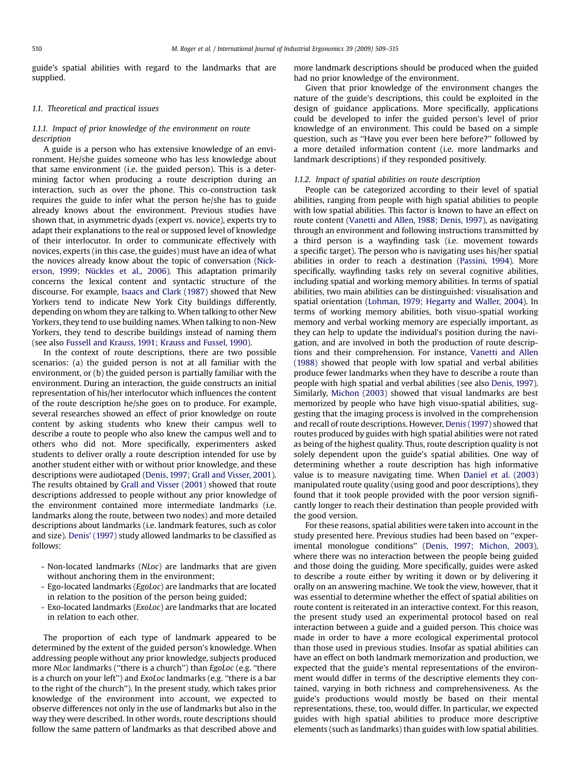guide's spatial abilities with regard to the landmarks that are supplied.

## 1.1. Theoretical and practical issues

# 1.1.1. Impact of prior knowledge of the environment on route description

A guide is a person who has extensive knowledge of an environment. He/she guides someone who has less knowledge about that same environment (i.e. the guided person). This is a determining factor when producing a route description during an interaction, such as over the phone. This co-construction task requires the guide to infer what the person he/she has to guide already knows about the environment. Previous studies have shown that, in asymmetric dyads (expert vs. novice), experts try to adapt their explanations to the real or supposed level of knowledge of their interlocutor. In order to communicate effectively with novices, experts (in this case, the guides) must have an idea of what the novices already know about the topic of conversation [\(Nick](#page-6-0)erson, 1999; Nü[ckles et al., 2006](#page-6-0)). This adaptation primarily concerns the lexical content and syntactic structure of the discourse. For example, [Isaacs and Clark \(1987\)](#page-6-0) showed that New Yorkers tend to indicate New York City buildings differently, depending on whom they are talking to. When talking to other New Yorkers, they tend to use building names. When talking to non-New Yorkers, they tend to describe buildings instead of naming them (see also [Fussell and Krauss, 1991; Krauss and Fussel, 1990](#page-5-0)).

In the context of route descriptions, there are two possible scenarios: (a) the guided person is not at all familiar with the environment, or (b) the guided person is partially familiar with the environment. During an interaction, the guide constructs an initial representation of his/her interlocutor which influences the content of the route description he/she goes on to produce. For example, several researches showed an effect of prior knowledge on route content by asking students who knew their campus well to describe a route to people who also knew the campus well and to others who did not. More specifically, experimenters asked students to deliver orally a route description intended for use by another student either with or without prior knowledge, and these descriptions were audiotaped [\(Denis, 1997; Grall and Visser, 2001](#page-5-0)). The results obtained by [Grall and Visser \(2001\)](#page-5-0) showed that route descriptions addressed to people without any prior knowledge of the environment contained more intermediate landmarks (i.e. landmarks along the route, between two nodes) and more detailed descriptions about landmarks (i.e. landmark features, such as color and size). [Denis' \(1997\)](#page-5-0) study allowed landmarks to be classified as follows:

- Non-located landmarks (NLoc) are landmarks that are given without anchoring them in the environment;
- Ego-located landmarks (EgoLoc) are landmarks that are located in relation to the position of the person being guided;
- Exo-located landmarks (ExoLoc) are landmarks that are located in relation to each other.

The proportion of each type of landmark appeared to be determined by the extent of the guided person's knowledge. When addressing people without any prior knowledge, subjects produced more NLoc landmarks (''there is a church'') than EgoLoc (e.g. ''there is a church on your left'') and ExoLoc landmarks (e.g. ''there is a bar to the right of the church''). In the present study, which takes prior knowledge of the environment into account, we expected to observe differences not only in the use of landmarks but also in the way they were described. In other words, route descriptions should follow the same pattern of landmarks as that described above and more landmark descriptions should be produced when the guided had no prior knowledge of the environment.

Given that prior knowledge of the environment changes the nature of the guide's descriptions, this could be exploited in the design of guidance applications. More specifically, applications could be developed to infer the guided person's level of prior knowledge of an environment. This could be based on a simple question, such as ''Have you ever been here before?'' followed by a more detailed information content (i.e. more landmarks and landmark descriptions) if they responded positively.

# 1.1.2. Impact of spatial abilities on route description

People can be categorized according to their level of spatial abilities, ranging from people with high spatial abilities to people with low spatial abilities. This factor is known to have an effect on route content (Vanetti and [Allen, 1988; Denis, 1997\)](#page-6-0), as navigating through an environment and following instructions transmitted by a third person is a wayfinding task (i.e. movement towards a specific target). The person who is navigating uses his/her spatial abilities in order to reach a destination [\(Passini, 1994](#page-6-0)). More specifically, wayfinding tasks rely on several cognitive abilities, including spatial and working memory abilities. In terms of spatial abilities, two main abilities can be distinguished: visualisation and spatial orientation [\(Lohman, 1979; Hegarty and Waller, 2004](#page-6-0)). In terms of working memory abilities, both visuo-spatial working memory and verbal working memory are especially important, as they can help to update the individual's position during the navigation, and are involved in both the production of route descriptions and their comprehension. For instance, [Vanetti and Allen](#page-6-0) [\(1988\)](#page-6-0) showed that people with low spatial and verbal abilities produce fewer landmarks when they have to describe a route than people with high spatial and verbal abilities (see also [Denis, 1997\)](#page-5-0). Similarly, [Michon \(2003\)](#page-6-0) showed that visual landmarks are best memorized by people who have high visuo-spatial abilities, suggesting that the imaging process is involved in the comprehension and recall of route descriptions. However, [Denis \(1997\)](#page-5-0) showed that routes produced by guides with high spatial abilities were not rated as being of the highest quality. Thus, route description quality is not solely dependent upon the guide's spatial abilities. One way of determining whether a route description has high informative value is to measure navigating time. When [Daniel et al. \(2003\)](#page-5-0) manipulated route quality (using good and poor descriptions), they found that it took people provided with the poor version significantly longer to reach their destination than people provided with the good version.

For these reasons, spatial abilities were taken into account in the study presented here. Previous studies had been based on ''experimental monologue conditions'' [\(Denis, 1997; Michon, 2003\)](#page-5-0), where there was no interaction between the people being guided and those doing the guiding. More specifically, guides were asked to describe a route either by writing it down or by delivering it orally on an answering machine. We took the view, however, that it was essential to determine whether the effect of spatial abilities on route content is reiterated in an interactive context. For this reason, the present study used an experimental protocol based on real interaction between a guide and a guided person. This choice was made in order to have a more ecological experimental protocol than those used in previous studies. Insofar as spatial abilities can have an effect on both landmark memorization and production, we expected that the guide's mental representations of the environment would differ in terms of the descriptive elements they contained, varying in both richness and comprehensiveness. As the guide's productions would mostly be based on their mental representations, these, too, would differ. In particular, we expected guides with high spatial abilities to produce more descriptive elements (such as landmarks) than guides with low spatial abilities.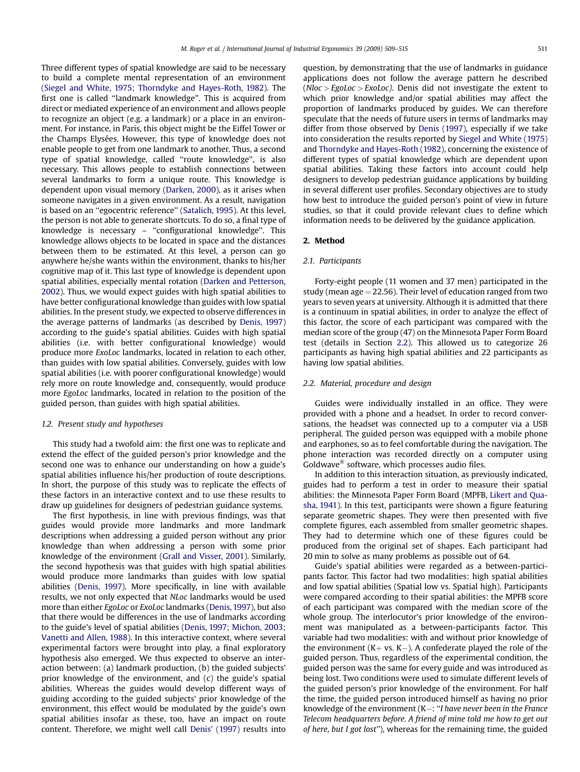Three different types of spatial knowledge are said to be necessary to build a complete mental representation of an environment ([Siegel and White, 1975; Thorndyke and Hayes-Roth, 1982](#page-6-0)). The first one is called ''landmark knowledge''. This is acquired from direct or mediated experience of an environment and allows people to recognize an object (e.g. a landmark) or a place in an environment. For instance, in Paris, this object might be the Eiffel Tower or the Champs Elysées. However, this type of knowledge does not enable people to get from one landmark to another. Thus, a second type of spatial knowledge, called ''route knowledge'', is also necessary. This allows people to establish connections between several landmarks to form a unique route. This knowledge is dependent upon visual memory [\(Darken, 2000\)](#page-5-0), as it arises when someone navigates in a given environment. As a result, navigation is based on an ''egocentric reference'' [\(Satalich, 1995\)](#page-6-0). At this level, the person is not able to generate shortcuts. To do so, a final type of knowledge is necessary – ''configurational knowledge''. This knowledge allows objects to be located in space and the distances between them to be estimated. At this level, a person can go anywhere he/she wants within the environment, thanks to his/her cognitive map of it. This last type of knowledge is dependent upon spatial abilities, especially mental rotation [\(Darken and Petterson,](#page-5-0) [2002\)](#page-5-0). Thus, we would expect guides with high spatial abilities to have better configurational knowledge than guides with low spatial abilities. In the present study, we expected to observe differences in the average patterns of landmarks (as described by [Denis, 1997\)](#page-5-0) according to the guide's spatial abilities. Guides with high spatial abilities (i.e. with better configurational knowledge) would produce more ExoLoc landmarks, located in relation to each other, than guides with low spatial abilities. Conversely, guides with low spatial abilities (i.e. with poorer configurational knowledge) would rely more on route knowledge and, consequently, would produce more EgoLoc landmarks, located in relation to the position of the guided person, than guides with high spatial abilities.

#### 1.2. Present study and hypotheses

This study had a twofold aim: the first one was to replicate and extend the effect of the guided person's prior knowledge and the second one was to enhance our understanding on how a guide's spatial abilities influence his/her production of route descriptions. In short, the purpose of this study was to replicate the effects of these factors in an interactive context and to use these results to draw up guidelines for designers of pedestrian guidance systems.

The first hypothesis, in line with previous findings, was that guides would provide more landmarks and more landmark descriptions when addressing a guided person without any prior knowledge than when addressing a person with some prior knowledge of the environment ([Grall and Visser, 2001\)](#page-5-0). Similarly, the second hypothesis was that guides with high spatial abilities would produce more landmarks than guides with low spatial abilities ([Denis, 1997](#page-5-0)). More specifically, in line with available results, we not only expected that NLoc landmarks would be used more than either EgoLoc or ExoLoc landmarks [\(Denis, 1997\)](#page-5-0), but also that there would be differences in the use of landmarks according to the guide's level of spatial abilities ([Denis, 1997; Michon, 2003;](#page-5-0) [Vanetti and Allen, 1988](#page-5-0)). In this interactive context, where several experimental factors were brought into play, a final exploratory hypothesis also emerged. We thus expected to observe an interaction between: (a) landmark production, (b) the guided subjects' prior knowledge of the environment, and (c) the guide's spatial abilities. Whereas the guides would develop different ways of guiding according to the guided subjects' prior knowledge of the environment, this effect would be modulated by the guide's own spatial abilities insofar as these, too, have an impact on route content. Therefore, we might well call [Denis' \(1997\)](#page-5-0) results into question, by demonstrating that the use of landmarks in guidance applications does not follow the average pattern he described  $(Nloc > Egoloc > Exoloc)$ . Denis did not investigate the extent to which prior knowledge and/or spatial abilities may affect the proportion of landmarks produced by guides. We can therefore speculate that the needs of future users in terms of landmarks may differ from those observed by [Denis \(1997\),](#page-5-0) especially if we take into consideration the results reported by [Siegel and White \(1975\)](#page-6-0) and [Thorndyke and Hayes-Roth \(1982\)](#page-6-0), concerning the existence of different types of spatial knowledge which are dependent upon spatial abilities. Taking these factors into account could help designers to develop pedestrian guidance applications by building in several different user profiles. Secondary objectives are to study how best to introduce the guided person's point of view in future studies, so that it could provide relevant clues to define which information needs to be delivered by the guidance application.

#### 2. Method

# 2.1. Participants

Forty-eight people (11 women and 37 men) participated in the study (mean age  $= 22.56$ ). Their level of education ranged from two years to seven years at university. Although it is admitted that there is a continuum in spatial abilities, in order to analyze the effect of this factor, the score of each participant was compared with the median score of the group (47) on the Minnesota Paper Form Board test (details in Section 2.2). This allowed us to categorize 26 participants as having high spatial abilities and 22 participants as having low spatial abilities.

# 2.2. Material, procedure and design

Guides were individually installed in an office. They were provided with a phone and a headset. In order to record conversations, the headset was connected up to a computer via a USB peripheral. The guided person was equipped with a mobile phone and earphones, so as to feel comfortable during the navigation. The phone interaction was recorded directly on a computer using Goldwave $^{\circledR}$  software, which processes audio files.

In addition to this interaction situation, as previously indicated, guides had to perform a test in order to measure their spatial abilities: the Minnesota Paper Form Board (MPFB, [Likert and Qua](#page-6-0)[sha, 1941](#page-6-0)). In this test, participants were shown a figure featuring separate geometric shapes. They were then presented with five complete figures, each assembled from smaller geometric shapes. They had to determine which one of these figures could be produced from the original set of shapes. Each participant had 20 min to solve as many problems as possible out of 64.

Guide's spatial abilities were regarded as a between-participants factor. This factor had two modalities: high spatial abilities and low spatial abilities (Spatial low vs. Spatial high). Participants were compared according to their spatial abilities: the MPFB score of each participant was compared with the median score of the whole group. The interlocutor's prior knowledge of the environment was manipulated as a between-participants factor. This variable had two modalities: with and without prior knowledge of the environment  $(K + vs. K -)$ . A confederate played the role of the guided person. Thus, regardless of the experimental condition, the guided person was the same for every guide and was introduced as being lost. Two conditions were used to simulate different levels of the guided person's prior knowledge of the environment. For half the time, the guided person introduced himself as having no prior knowledge of the environment (K–: "I have never been in the France Telecom headquarters before. A friend of mine told me how to get out of here, but I got lost''), whereas for the remaining time, the guided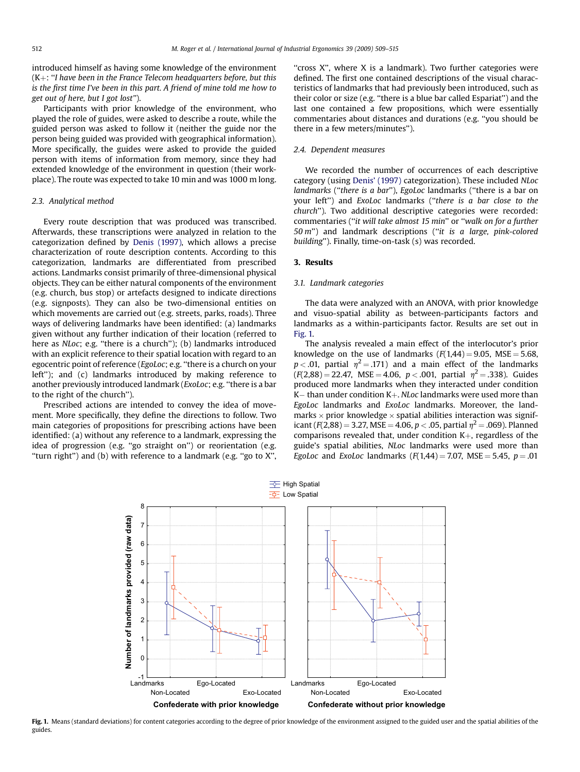introduced himself as having some knowledge of the environment  $(K +: "I)$  have been in the France Telecom headquarters before, but this is the first time I've been in this part. A friend of mine told me how to get out of here, but I got lost'').

Participants with prior knowledge of the environment, who played the role of guides, were asked to describe a route, while the guided person was asked to follow it (neither the guide nor the person being guided was provided with geographical information). More specifically, the guides were asked to provide the guided person with items of information from memory, since they had extended knowledge of the environment in question (their workplace). The route was expected to take 10 min and was 1000 m long.

# 2.3. Analytical method

Every route description that was produced was transcribed. Afterwards, these transcriptions were analyzed in relation to the categorization defined by [Denis \(1997\),](#page-5-0) which allows a precise characterization of route description contents. According to this categorization, landmarks are differentiated from prescribed actions. Landmarks consist primarily of three-dimensional physical objects. They can be either natural components of the environment (e.g. church, bus stop) or artefacts designed to indicate directions (e.g. signposts). They can also be two-dimensional entities on which movements are carried out (e.g. streets, parks, roads). Three ways of delivering landmarks have been identified: (a) landmarks given without any further indication of their location (referred to here as NLoc; e.g. "there is a church"); (b) landmarks introduced with an explicit reference to their spatial location with regard to an egocentric point of reference (EgoLoc; e.g. ''there is a church on your left''); and (c) landmarks introduced by making reference to another previously introduced landmark (ExoLoc; e.g. ''there is a bar to the right of the church'').

Prescribed actions are intended to convey the idea of movement. More specifically, they define the directions to follow. Two main categories of propositions for prescribing actions have been identified: (a) without any reference to a landmark, expressing the idea of progression (e.g. ''go straight on'') or reorientation (e.g. ''turn right'') and (b) with reference to a landmark (e.g. ''go to X'', "cross X", where X is a landmark). Two further categories were defined. The first one contained descriptions of the visual characteristics of landmarks that had previously been introduced, such as their color or size (e.g. ''there is a blue bar called Espariat'') and the last one contained a few propositions, which were essentially commentaries about distances and durations (e.g. ''you should be there in a few meters/minutes'').

### 2.4. Dependent measures

We recorded the number of occurrences of each descriptive category (using [Denis' \(1997\)](#page-5-0) categorization). These included NLoc landmarks ("there is a bar"), EgoLoc landmarks ("there is a bar on your left'') and ExoLoc landmarks (''there is a bar close to the church''). Two additional descriptive categories were recorded: commentaries (''it will take almost 15 min'' or ''walk on for a further 50 m'') and landmark descriptions (''it is a large, pink-colored building''). Finally, time-on-task (s) was recorded.

# 3. Results

### 3.1. Landmark categories

The data were analyzed with an ANOVA, with prior knowledge and visuo-spatial ability as between-participants factors and landmarks as a within-participants factor. Results are set out in Fig. 1.

The analysis revealed a main effect of the interlocutor's prior knowledge on the use of landmarks  $(F(1,44) = 9.05, \text{MSE} = 5.68,$  $p < .01$ , partial  $\eta^2 = .171$ ) and a main effect of the landmarks  $(F(2,88) = 22.47, \text{ MSE} = 4.06, p < .001, \text{ partial } \eta^2 = .338).$  Guides produced more landmarks when they interacted under condition K– than under condition K+. NLoc landmarks were used more than EgoLoc landmarks and ExoLoc landmarks. Moreover, the landmarks  $\times$  prior knowledge  $\times$  spatial abilities interaction was significant (F(2,88) = 3.27, MSE = 4.06, p < .05, partial  $\eta^2$  = .069). Planned comparisons revealed that, under condition  $K_{+}$ , regardless of the guide's spatial abilities, NLoc landmarks were used more than EgoLoc and ExoLoc landmarks  $(F(1,44) = 7.07, \text{MSE} = 5.45, p = .01$ 



Fig. 1. Means (standard deviations) for content categories according to the degree of prior knowledge of the environment assigned to the guided user and the spatial abilities of the guides.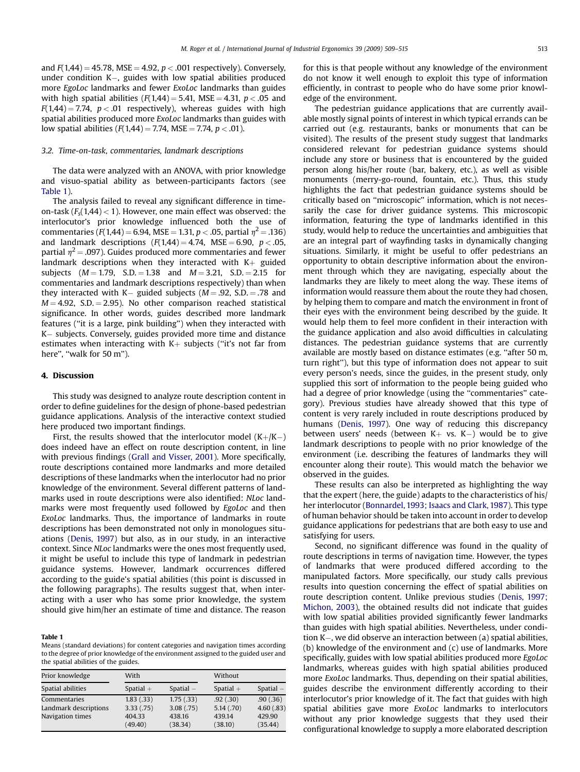and  $F(1,44) = 45.78$ , MSE = 4.92,  $p < .001$  respectively). Conversely, under condition K-, guides with low spatial abilities produced more EgoLoc landmarks and fewer ExoLoc landmarks than guides with high spatial abilities  $(F(1,44) = 5.41, \text{ MSE} = 4.31, p < .05$  and  $F(1,44) = 7.74$ ,  $p < .01$  respectively), whereas guides with high spatial abilities produced more ExoLoc landmarks than guides with low spatial abilities ( $F(1,44) = 7.74$ , MSE = 7.74, p < .01).

#### 3.2. Time-on-task, commentaries, landmark descriptions

The data were analyzed with an ANOVA, with prior knowledge and visuo-spatial ability as between-participants factors (see Table 1).

The analysis failed to reveal any significant difference in timeon-task ( $F_s(1,44) < 1$ ). However, one main effect was observed: the interlocutor's prior knowledge influenced both the use of commentaries ( $F(1,44) = 6.94$ , MSE = 1.31, p < .05, partial  $\eta^2 = .136$ ) and landmark descriptions  $(F(1,44) = 4.74, \text{MSE} = 6.90, p < .05,$ partial  $\eta^2$  = .097). Guides produced more commentaries and fewer landmark descriptions when they interacted with  $K+$  guided subjects  $(M = 1.79, S.D. = 1.38$  and  $M = 3.21, S.D. = 2.15$  for commentaries and landmark descriptions respectively) than when they interacted with K– guided subjects ( $M = .92$ , S.D. $= .78$  and  $M = 4.92$ , S.D.  $= 2.95$ ). No other comparison reached statistical significance. In other words, guides described more landmark features (''it is a large, pink building'') when they interacted with K- subjects. Conversely, guides provided more time and distance estimates when interacting with  $K+$  subjects ("it's not far from here", "walk for 50 m").

## 4. Discussion

This study was designed to analyze route description content in order to define guidelines for the design of phone-based pedestrian guidance applications. Analysis of the interactive context studied here produced two important findings.

First, the results showed that the interlocutor model  $(K + / K -)$ does indeed have an effect on route description content, in line with previous findings [\(Grall and Visser, 2001\)](#page-5-0). More specifically, route descriptions contained more landmarks and more detailed descriptions of these landmarks when the interlocutor had no prior knowledge of the environment. Several different patterns of landmarks used in route descriptions were also identified: NLoc landmarks were most frequently used followed by EgoLoc and then ExoLoc landmarks. Thus, the importance of landmarks in route descriptions has been demonstrated not only in monologues situations ([Denis, 1997](#page-5-0)) but also, as in our study, in an interactive context. Since NLoc landmarks were the ones most frequently used, it might be useful to include this type of landmark in pedestrian guidance systems. However, landmark occurrences differed according to the guide's spatial abilities (this point is discussed in the following paragraphs). The results suggest that, when interacting with a user who has some prior knowledge, the system should give him/her an estimate of time and distance. The reason

#### Table 1

Means (standard deviations) for content categories and navigation times according to the degree of prior knowledge of the environment assigned to the guided user and the spatial abilities of the guides.

| Prior knowledge       | With        |                | Without      |                |
|-----------------------|-------------|----------------|--------------|----------------|
| Spatial abilities     | Spatial $+$ | $S$ patial $-$ | $S$ patial + | $S$ patial $-$ |
| Commentaries          | 1.83(0.33)  | 1.75(.33)      | .92(.30)     | .90(.36)       |
| Landmark descriptions | 3.33(0.75)  | 3.08(.75)      | 5.14(0.70)   | 4.60(.83)      |
| Navigation times      | 404.33      | 438.16         | 439.14       | 429.90         |
|                       | (49.40)     | (38.34)        | (38.10)      | (35.44)        |

for this is that people without any knowledge of the environment do not know it well enough to exploit this type of information efficiently, in contrast to people who do have some prior knowledge of the environment.

The pedestrian guidance applications that are currently available mostly signal points of interest in which typical errands can be carried out (e.g. restaurants, banks or monuments that can be visited). The results of the present study suggest that landmarks considered relevant for pedestrian guidance systems should include any store or business that is encountered by the guided person along his/her route (bar, bakery, etc.), as well as visible monuments (merry-go-round, fountain, etc.). Thus, this study highlights the fact that pedestrian guidance systems should be critically based on ''microscopic'' information, which is not necessarily the case for driver guidance systems. This microscopic information, featuring the type of landmarks identified in this study, would help to reduce the uncertainties and ambiguities that are an integral part of wayfinding tasks in dynamically changing situations. Similarly, it might be useful to offer pedestrians an opportunity to obtain descriptive information about the environment through which they are navigating, especially about the landmarks they are likely to meet along the way. These items of information would reassure them about the route they had chosen, by helping them to compare and match the environment in front of their eyes with the environment being described by the guide. It would help them to feel more confident in their interaction with the guidance application and also avoid difficulties in calculating distances. The pedestrian guidance systems that are currently available are mostly based on distance estimates (e.g. ''after 50 m, turn right''), but this type of information does not appear to suit every person's needs, since the guides, in the present study, only supplied this sort of information to the people being guided who had a degree of prior knowledge (using the ''commentaries'' category). Previous studies have already showed that this type of content is very rarely included in route descriptions produced by humans [\(Denis, 1997](#page-5-0)). One way of reducing this discrepancy between users' needs (between K $+$  vs. K $-$ ) would be to give landmark descriptions to people with no prior knowledge of the environment (i.e. describing the features of landmarks they will encounter along their route). This would match the behavior we observed in the guides.

These results can also be interpreted as highlighting the way that the expert (here, the guide) adapts to the characteristics of his/ her interlocutor ([Bonnardel, 1993; Isaacs and Clark, 1987\)](#page-5-0). This type of human behavior should be taken into account in order to develop guidance applications for pedestrians that are both easy to use and satisfying for users.

Second, no significant difference was found in the quality of route descriptions in terms of navigation time. However, the types of landmarks that were produced differed according to the manipulated factors. More specifically, our study calls previous results into question concerning the effect of spatial abilities on route description content. Unlike previous studies [\(Denis, 1997;](#page-5-0) [Michon, 2003\)](#page-5-0), the obtained results did not indicate that guides with low spatial abilities provided significantly fewer landmarks than guides with high spatial abilities. Nevertheless, under condition K-, we did observe an interaction between (a) spatial abilities, (b) knowledge of the environment and (c) use of landmarks. More specifically, guides with low spatial abilities produced more EgoLoc landmarks, whereas guides with high spatial abilities produced more ExoLoc landmarks. Thus, depending on their spatial abilities, guides describe the environment differently according to their interlocutor's prior knowledge of it. The fact that guides with high spatial abilities gave more ExoLoc landmarks to interlocutors without any prior knowledge suggests that they used their configurational knowledge to supply a more elaborated description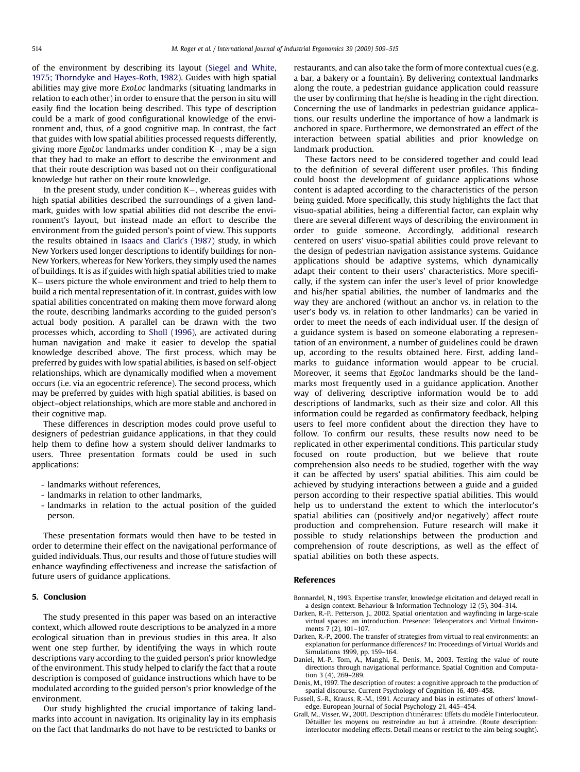<span id="page-5-0"></span>of the environment by describing its layout [\(Siegel and White,](#page-6-0) [1975; Thorndyke and Hayes-Roth, 1982\)](#page-6-0). Guides with high spatial abilities may give more ExoLoc landmarks (situating landmarks in relation to each other) in order to ensure that the person in situ will easily find the location being described. This type of description could be a mark of good configurational knowledge of the environment and, thus, of a good cognitive map. In contrast, the fact that guides with low spatial abilities processed requests differently, giving more EgoLoc landmarks under condition K–, may be a sign that they had to make an effort to describe the environment and that their route description was based not on their configurational knowledge but rather on their route knowledge.

In the present study, under condition K–, whereas guides with high spatial abilities described the surroundings of a given landmark, guides with low spatial abilities did not describe the environment's layout, but instead made an effort to describe the environment from the guided person's point of view. This supports the results obtained in [Isaacs and Clark's \(1987\)](#page-6-0) study, in which New Yorkers used longer descriptions to identify buildings for non-New Yorkers, whereas for New Yorkers, they simply used the names of buildings. It is as if guides with high spatial abilities tried to make K- users picture the whole environment and tried to help them to build a rich mental representation of it. In contrast, guides with low spatial abilities concentrated on making them move forward along the route, describing landmarks according to the guided person's actual body position. A parallel can be drawn with the two processes which, according to [Sholl \(1996\)](#page-6-0), are activated during human navigation and make it easier to develop the spatial knowledge described above. The first process, which may be preferred by guides with low spatial abilities, is based on self-object relationships, which are dynamically modified when a movement occurs (i.e. via an egocentric reference). The second process, which may be preferred by guides with high spatial abilities, is based on object–object relationships, which are more stable and anchored in their cognitive map.

These differences in description modes could prove useful to designers of pedestrian guidance applications, in that they could help them to define how a system should deliver landmarks to users. Three presentation formats could be used in such applications:

- landmarks without references,
- landmarks in relation to other landmarks,
- landmarks in relation to the actual position of the guided person.

These presentation formats would then have to be tested in order to determine their effect on the navigational performance of guided individuals. Thus, our results and those of future studies will enhance wayfinding effectiveness and increase the satisfaction of future users of guidance applications.

# 5. Conclusion

The study presented in this paper was based on an interactive context, which allowed route descriptions to be analyzed in a more ecological situation than in previous studies in this area. It also went one step further, by identifying the ways in which route descriptions vary according to the guided person's prior knowledge of the environment. This study helped to clarify the fact that a route description is composed of guidance instructions which have to be modulated according to the guided person's prior knowledge of the environment.

Our study highlighted the crucial importance of taking landmarks into account in navigation. Its originality lay in its emphasis on the fact that landmarks do not have to be restricted to banks or restaurants, and can also take the form of more contextual cues (e.g. a bar, a bakery or a fountain). By delivering contextual landmarks along the route, a pedestrian guidance application could reassure the user by confirming that he/she is heading in the right direction. Concerning the use of landmarks in pedestrian guidance applications, our results underline the importance of how a landmark is anchored in space. Furthermore, we demonstrated an effect of the interaction between spatial abilities and prior knowledge on landmark production.

These factors need to be considered together and could lead to the definition of several different user profiles. This finding could boost the development of guidance applications whose content is adapted according to the characteristics of the person being guided. More specifically, this study highlights the fact that visuo-spatial abilities, being a differential factor, can explain why there are several different ways of describing the environment in order to guide someone. Accordingly, additional research centered on users' visuo-spatial abilities could prove relevant to the design of pedestrian navigation assistance systems. Guidance applications should be adaptive systems, which dynamically adapt their content to their users' characteristics. More specifically, if the system can infer the user's level of prior knowledge and his/her spatial abilities, the number of landmarks and the way they are anchored (without an anchor vs. in relation to the user's body vs. in relation to other landmarks) can be varied in order to meet the needs of each individual user. If the design of a guidance system is based on someone elaborating a representation of an environment, a number of guidelines could be drawn up, according to the results obtained here. First, adding landmarks to guidance information would appear to be crucial. Moreover, it seems that EgoLoc landmarks should be the landmarks most frequently used in a guidance application. Another way of delivering descriptive information would be to add descriptions of landmarks, such as their size and color. All this information could be regarded as confirmatory feedback, helping users to feel more confident about the direction they have to follow. To confirm our results, these results now need to be replicated in other experimental conditions. This particular study focused on route production, but we believe that route comprehension also needs to be studied, together with the way it can be affected by users' spatial abilities. This aim could be achieved by studying interactions between a guide and a guided person according to their respective spatial abilities. This would help us to understand the extent to which the interlocutor's spatial abilities can (positively and/or negatively) affect route production and comprehension. Future research will make it possible to study relationships between the production and comprehension of route descriptions, as well as the effect of spatial abilities on both these aspects.

# References

Bonnardel, N., 1993. Expertise transfer, knowledge elicitation and delayed recall in a design context. Behaviour & Information Technology 12 (5), 304–314.

- Darken, R.-P., Petterson, J., 2002. Spatial orientation and wayfinding in large-scale virtual spaces: an introduction. Presence: Teleoperators and Virtual Environments 7 (2), 101–107.
- Darken, R.-P., 2000. The transfer of strategies from virtual to real environments: an explanation for performance differences? In: Proceedings of Virtual Worlds and Simulations 1999, pp. 159–164.
- Daniel, M.-P., Tom, A., Manghi, E., Denis, M., 2003. Testing the value of route directions through navigational performance. Spatial Cognition and Computation 3 (4), 269–289.
- Denis, M., 1997. The description of routes: a cognitive approach to the production of spatial discourse. Current Psychology of Cognition 16, 409–458.
- Fussell, S.-R., Krauss, R.-M., 1991. Accuracy and bias in estimates of others' knowledge. European Journal of Social Psychology 21, 445–454.
- Grall, M., Visser, W., 2001. Description d'itinéraires: Effets du modèle l'interlocuteur. Détailler les moyens ou restreindre au but à atteindre. (Route description: interlocutor modeling effects. Detail means or restrict to the aim being sought).